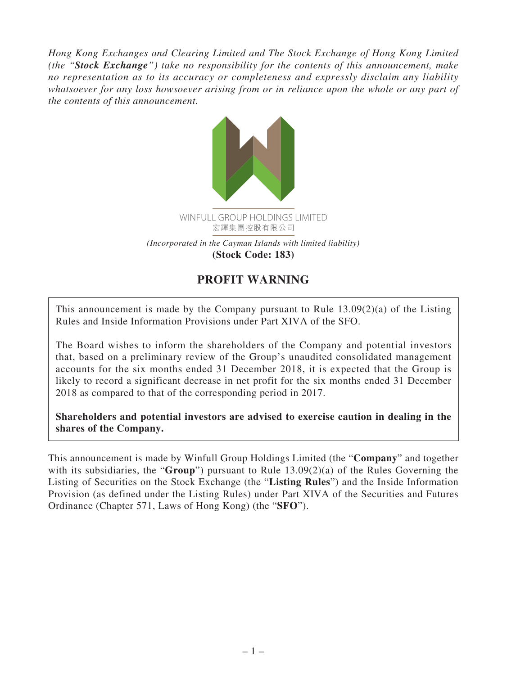*Hong Kong Exchanges and Clearing Limited and The Stock Exchange of Hong Kong Limited (the "Stock Exchange") take no responsibility for the contents of this announcement, make no representation as to its accuracy or completeness and expressly disclaim any liability whatsoever for any loss howsoever arising from or in reliance upon the whole or any part of the contents of this announcement.*



**(Stock Code: 183)**

## **PROFIT WARNING**

This announcement is made by the Company pursuant to Rule 13.09(2)(a) of the Listing Rules and Inside Information Provisions under Part XIVA of the SFO.

The Board wishes to inform the shareholders of the Company and potential investors that, based on a preliminary review of the Group's unaudited consolidated management accounts for the six months ended 31 December 2018, it is expected that the Group is likely to record a significant decrease in net profit for the six months ended 31 December 2018 as compared to that of the corresponding period in 2017.

**Shareholders and potential investors are advised to exercise caution in dealing in the shares of the Company.**

This announcement is made by Winfull Group Holdings Limited (the "**Company**" and together with its subsidiaries, the "**Group**") pursuant to Rule 13.09(2)(a) of the Rules Governing the Listing of Securities on the Stock Exchange (the "**Listing Rules**") and the Inside Information Provision (as defined under the Listing Rules) under Part XIVA of the Securities and Futures Ordinance (Chapter 571, Laws of Hong Kong) (the "**SFO**").